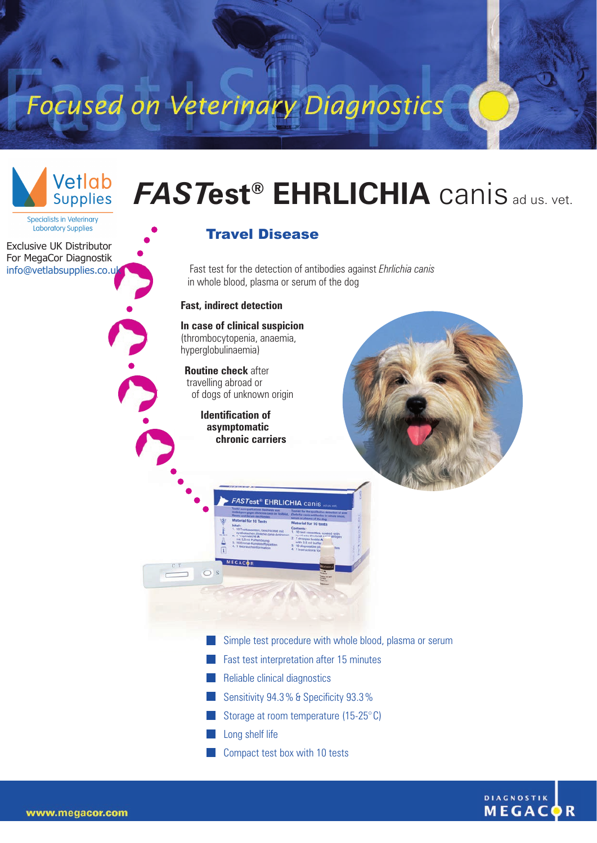Focused on Veterinary Diagnostics



## *FAST***est® EHRLICHIA** canis ad us. vet.

**Specialists in Veterinary** '<br>Laboratory Supplies

Exclusive UK Distributor For MegaCor Diagnostik info@vetlabsupplies.co.u

## Travel Disease

Fast test for the detection of antibodies against *Ehrlichia canis* in whole blood, plasma or serum of the dog

## **Fast, indirect detection**

**In case of clinical suspicion** (thrombocytopenia, anaemia, hyperglobulinaemia)

**Routine check** after travelling abroad or of dogs of unknown origin

> **Identification of asymptomatic chronic carriers**



Simple test procedure with whole blood, plasma or serum

- Fast test interpretation after 15 minutes
- Reliable clinical diagnostics

**FASTest® EHRLICHIA** canis

- Sensitivity 94.3% & Specificity 93.3%
- Storage at room temperature (15-25°C)
- Long shelf life
- Compact test box with 10 tests